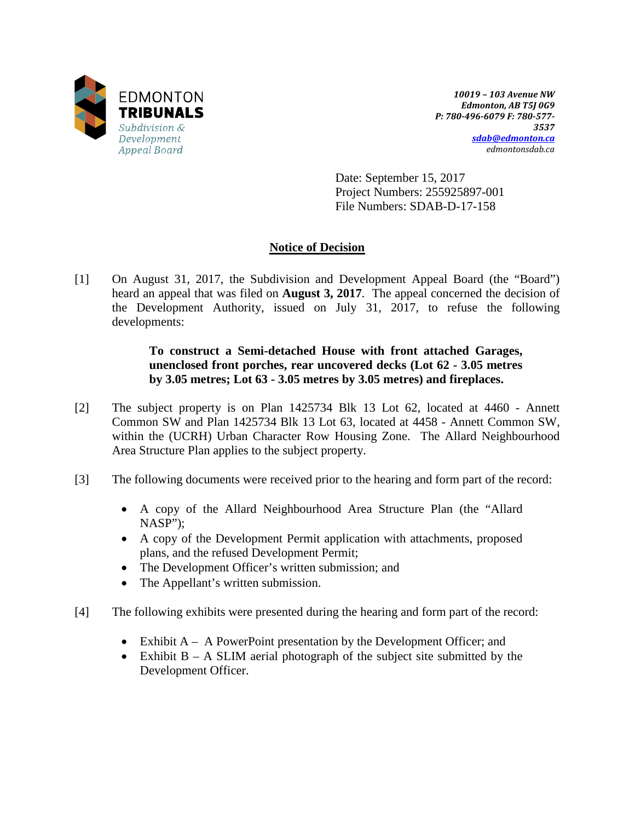

*10019 – 103 Avenue NW Edmonton, AB T5J 0G9 P: 780-496-6079 F: 780-577- 3537 [sdab@edmonton.ca](mailto:sdab@edmonton.ca) edmontonsdab.ca*

Date: September 15, 2017 Project Numbers: 255925897-001 File Numbers: SDAB-D-17-158

# **Notice of Decision**

[1] On August 31, 2017, the Subdivision and Development Appeal Board (the "Board") heard an appeal that was filed on **August 3, 2017**. The appeal concerned the decision of the Development Authority, issued on July 31, 2017, to refuse the following developments:

# **To construct a Semi-detached House with front attached Garages, unenclosed front porches, rear uncovered decks (Lot 62 - 3.05 metres by 3.05 metres; Lot 63 - 3.05 metres by 3.05 metres) and fireplaces.**

- [2] The subject property is on Plan 1425734 Blk 13 Lot 62, located at 4460 Annett Common SW and Plan 1425734 Blk 13 Lot 63, located at 4458 - Annett Common SW, within the (UCRH) Urban Character Row Housing Zone. The Allard Neighbourhood Area Structure Plan applies to the subject property.
- [3] The following documents were received prior to the hearing and form part of the record:
	- A copy of the Allard Neighbourhood Area Structure Plan (the "Allard NASP");
	- A copy of the Development Permit application with attachments, proposed plans, and the refused Development Permit;
	- The Development Officer's written submission; and
	- The Appellant's written submission.
- [4] The following exhibits were presented during the hearing and form part of the record:
	- Exhibit A A PowerPoint presentation by the Development Officer; and
	- Exhibit  $B A$  SLIM aerial photograph of the subject site submitted by the Development Officer.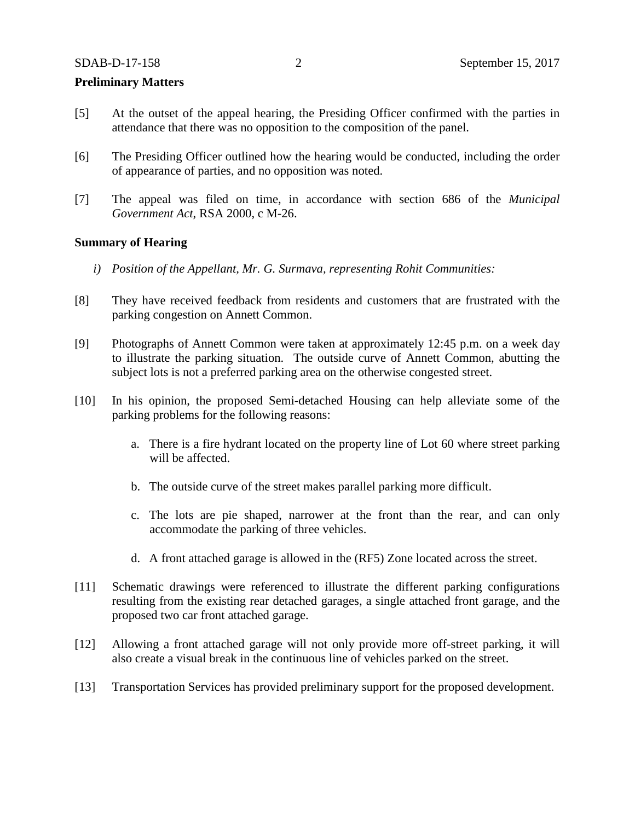#### **Preliminary Matters**

- [5] At the outset of the appeal hearing, the Presiding Officer confirmed with the parties in attendance that there was no opposition to the composition of the panel.
- [6] The Presiding Officer outlined how the hearing would be conducted, including the order of appearance of parties, and no opposition was noted.
- [7] The appeal was filed on time, in accordance with section 686 of the *Municipal Government Act*, RSA 2000, c M-26.

## **Summary of Hearing**

- *i) Position of the Appellant, Mr. G. Surmava, representing Rohit Communities:*
- [8] They have received feedback from residents and customers that are frustrated with the parking congestion on Annett Common.
- [9] Photographs of Annett Common were taken at approximately 12:45 p.m. on a week day to illustrate the parking situation. The outside curve of Annett Common, abutting the subject lots is not a preferred parking area on the otherwise congested street.
- [10] In his opinion, the proposed Semi-detached Housing can help alleviate some of the parking problems for the following reasons:
	- a. There is a fire hydrant located on the property line of Lot 60 where street parking will be affected.
	- b. The outside curve of the street makes parallel parking more difficult.
	- c. The lots are pie shaped, narrower at the front than the rear, and can only accommodate the parking of three vehicles.
	- d. A front attached garage is allowed in the (RF5) Zone located across the street.
- [11] Schematic drawings were referenced to illustrate the different parking configurations resulting from the existing rear detached garages, a single attached front garage, and the proposed two car front attached garage.
- [12] Allowing a front attached garage will not only provide more off-street parking, it will also create a visual break in the continuous line of vehicles parked on the street.
- [13] Transportation Services has provided preliminary support for the proposed development.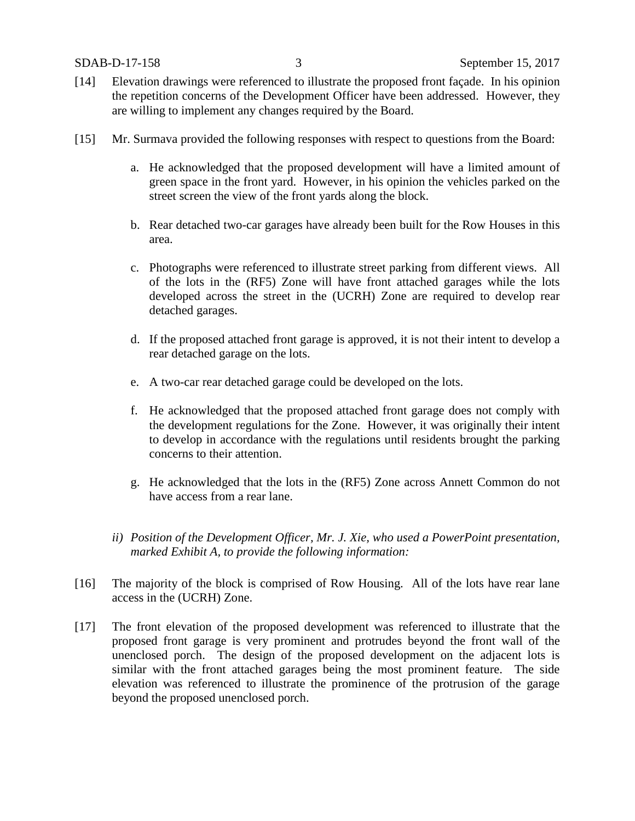- [14] Elevation drawings were referenced to illustrate the proposed front façade. In his opinion the repetition concerns of the Development Officer have been addressed. However, they are willing to implement any changes required by the Board.
- [15] Mr. Surmava provided the following responses with respect to questions from the Board:
	- a. He acknowledged that the proposed development will have a limited amount of green space in the front yard. However, in his opinion the vehicles parked on the street screen the view of the front yards along the block.
	- b. Rear detached two-car garages have already been built for the Row Houses in this area.
	- c. Photographs were referenced to illustrate street parking from different views. All of the lots in the (RF5) Zone will have front attached garages while the lots developed across the street in the (UCRH) Zone are required to develop rear detached garages.
	- d. If the proposed attached front garage is approved, it is not their intent to develop a rear detached garage on the lots.
	- e. A two-car rear detached garage could be developed on the lots.
	- f. He acknowledged that the proposed attached front garage does not comply with the development regulations for the Zone. However, it was originally their intent to develop in accordance with the regulations until residents brought the parking concerns to their attention.
	- g. He acknowledged that the lots in the (RF5) Zone across Annett Common do not have access from a rear lane.
	- *ii) Position of the Development Officer, Mr. J. Xie, who used a PowerPoint presentation, marked Exhibit A, to provide the following information:*
- [16] The majority of the block is comprised of Row Housing. All of the lots have rear lane access in the (UCRH) Zone.
- [17] The front elevation of the proposed development was referenced to illustrate that the proposed front garage is very prominent and protrudes beyond the front wall of the unenclosed porch. The design of the proposed development on the adjacent lots is similar with the front attached garages being the most prominent feature. The side elevation was referenced to illustrate the prominence of the protrusion of the garage beyond the proposed unenclosed porch.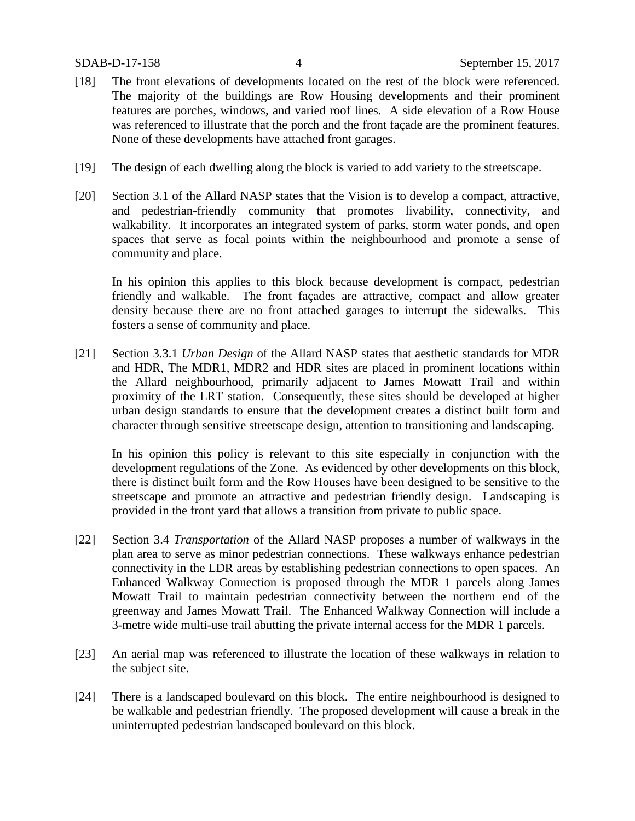- [18] The front elevations of developments located on the rest of the block were referenced. The majority of the buildings are Row Housing developments and their prominent features are porches, windows, and varied roof lines. A side elevation of a Row House was referenced to illustrate that the porch and the front façade are the prominent features. None of these developments have attached front garages.
- [19] The design of each dwelling along the block is varied to add variety to the streetscape.
- [20] Section 3.1 of the Allard NASP states that the Vision is to develop a compact, attractive, and pedestrian-friendly community that promotes livability, connectivity, and walkability. It incorporates an integrated system of parks, storm water ponds, and open spaces that serve as focal points within the neighbourhood and promote a sense of community and place.

In his opinion this applies to this block because development is compact, pedestrian friendly and walkable. The front façades are attractive, compact and allow greater density because there are no front attached garages to interrupt the sidewalks. This fosters a sense of community and place.

[21] Section 3.3.1 *Urban Design* of the Allard NASP states that aesthetic standards for MDR and HDR, The MDR1, MDR2 and HDR sites are placed in prominent locations within the Allard neighbourhood, primarily adjacent to James Mowatt Trail and within proximity of the LRT station. Consequently, these sites should be developed at higher urban design standards to ensure that the development creates a distinct built form and character through sensitive streetscape design, attention to transitioning and landscaping.

In his opinion this policy is relevant to this site especially in conjunction with the development regulations of the Zone. As evidenced by other developments on this block, there is distinct built form and the Row Houses have been designed to be sensitive to the streetscape and promote an attractive and pedestrian friendly design. Landscaping is provided in the front yard that allows a transition from private to public space.

- [22] Section 3.4 *Transportation* of the Allard NASP proposes a number of walkways in the plan area to serve as minor pedestrian connections. These walkways enhance pedestrian connectivity in the LDR areas by establishing pedestrian connections to open spaces. An Enhanced Walkway Connection is proposed through the MDR 1 parcels along James Mowatt Trail to maintain pedestrian connectivity between the northern end of the greenway and James Mowatt Trail. The Enhanced Walkway Connection will include a 3-metre wide multi-use trail abutting the private internal access for the MDR 1 parcels.
- [23] An aerial map was referenced to illustrate the location of these walkways in relation to the subject site.
- [24] There is a landscaped boulevard on this block. The entire neighbourhood is designed to be walkable and pedestrian friendly. The proposed development will cause a break in the uninterrupted pedestrian landscaped boulevard on this block.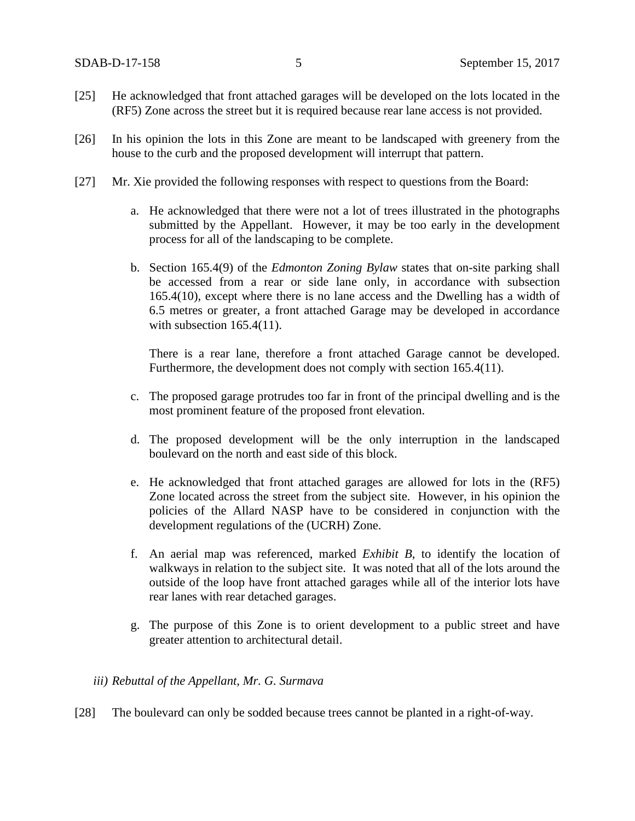- [25] He acknowledged that front attached garages will be developed on the lots located in the (RF5) Zone across the street but it is required because rear lane access is not provided.
- [26] In his opinion the lots in this Zone are meant to be landscaped with greenery from the house to the curb and the proposed development will interrupt that pattern.
- [27] Mr. Xie provided the following responses with respect to questions from the Board:
	- a. He acknowledged that there were not a lot of trees illustrated in the photographs submitted by the Appellant. However, it may be too early in the development process for all of the landscaping to be complete.
	- b. Section 165.4(9) of the *Edmonton Zoning Bylaw* states that on-site parking shall be accessed from a rear or side lane only, in accordance with subsection 165.4(10), except where there is no lane access and the Dwelling has a width of 6.5 metres or greater, a front attached Garage may be developed in accordance with subsection 165.4(11).

There is a rear lane, therefore a front attached Garage cannot be developed. Furthermore, the development does not comply with section 165.4(11).

- c. The proposed garage protrudes too far in front of the principal dwelling and is the most prominent feature of the proposed front elevation.
- d. The proposed development will be the only interruption in the landscaped boulevard on the north and east side of this block.
- e. He acknowledged that front attached garages are allowed for lots in the (RF5) Zone located across the street from the subject site. However, in his opinion the policies of the Allard NASP have to be considered in conjunction with the development regulations of the (UCRH) Zone.
- f. An aerial map was referenced, marked *Exhibit B*, to identify the location of walkways in relation to the subject site. It was noted that all of the lots around the outside of the loop have front attached garages while all of the interior lots have rear lanes with rear detached garages.
- g. The purpose of this Zone is to orient development to a public street and have greater attention to architectural detail.

## *iii) Rebuttal of the Appellant, Mr. G. Surmava*

[28] The boulevard can only be sodded because trees cannot be planted in a right-of-way.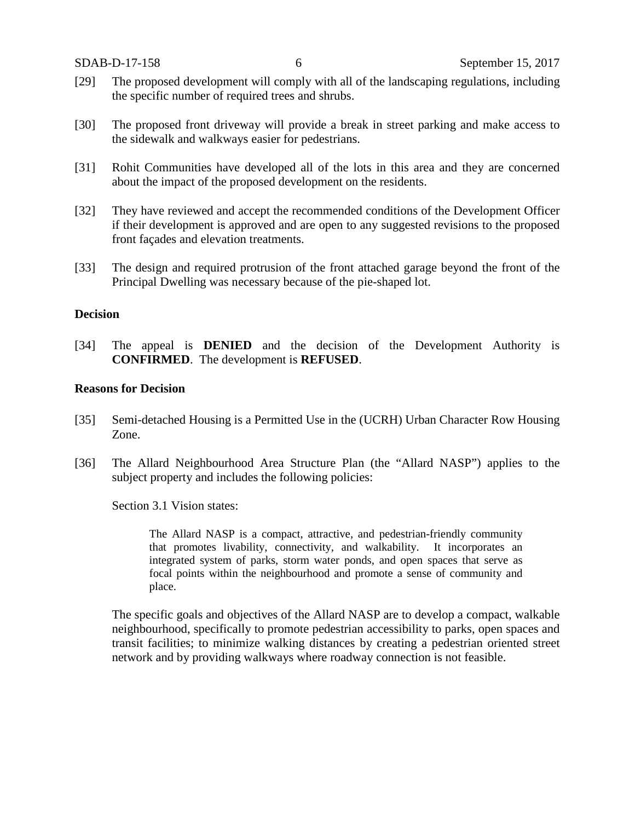- [29] The proposed development will comply with all of the landscaping regulations, including the specific number of required trees and shrubs.
- [30] The proposed front driveway will provide a break in street parking and make access to the sidewalk and walkways easier for pedestrians.
- [31] Rohit Communities have developed all of the lots in this area and they are concerned about the impact of the proposed development on the residents.
- [32] They have reviewed and accept the recommended conditions of the Development Officer if their development is approved and are open to any suggested revisions to the proposed front façades and elevation treatments.
- [33] The design and required protrusion of the front attached garage beyond the front of the Principal Dwelling was necessary because of the pie-shaped lot.

# **Decision**

[34] The appeal is **DENIED** and the decision of the Development Authority is **CONFIRMED**. The development is **REFUSED**.

## **Reasons for Decision**

- [35] Semi-detached Housing is a Permitted Use in the (UCRH) Urban Character Row Housing Zone.
- [36] The Allard Neighbourhood Area Structure Plan (the "Allard NASP") applies to the subject property and includes the following policies:

Section 3.1 Vision states:

The Allard NASP is a compact, attractive, and pedestrian-friendly community that promotes livability, connectivity, and walkability. It incorporates an integrated system of parks, storm water ponds, and open spaces that serve as focal points within the neighbourhood and promote a sense of community and place.

The specific goals and objectives of the Allard NASP are to develop a compact, walkable neighbourhood, specifically to promote pedestrian accessibility to parks, open spaces and transit facilities; to minimize walking distances by creating a pedestrian oriented street network and by providing walkways where roadway connection is not feasible.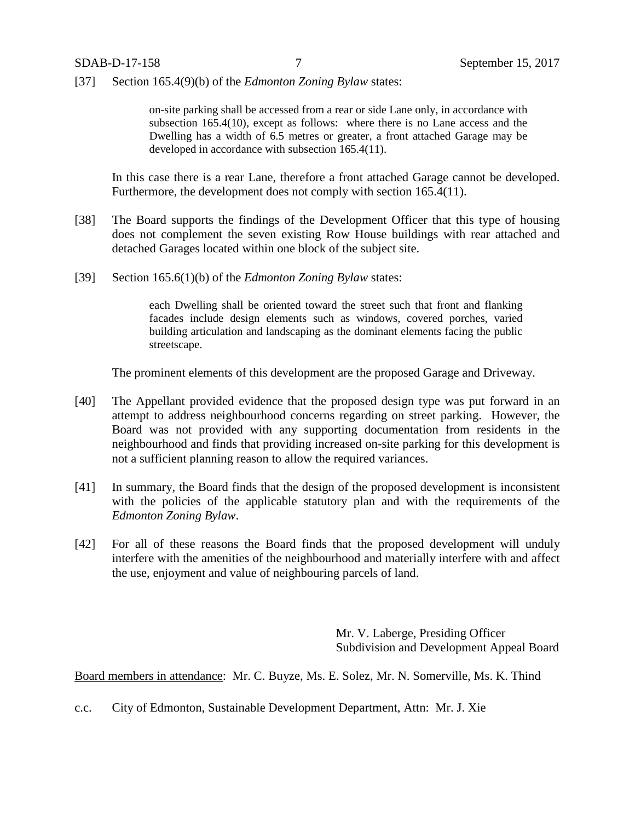[37] Section 165.4(9)(b) of the *Edmonton Zoning Bylaw* states:

on-site parking shall be accessed from a rear or side Lane only, in accordance with subsection 165.4(10), except as follows: where there is no Lane access and the Dwelling has a width of 6.5 metres or greater, a front attached Garage may be developed in accordance with subsection 165.4(11).

In this case there is a rear Lane, therefore a front attached Garage cannot be developed. Furthermore, the development does not comply with section 165.4(11).

- [38] The Board supports the findings of the Development Officer that this type of housing does not complement the seven existing Row House buildings with rear attached and detached Garages located within one block of the subject site.
- [39] Section 165.6(1)(b) of the *Edmonton Zoning Bylaw* states:

each Dwelling shall be oriented toward the street such that front and flanking facades include design elements such as windows, covered porches, varied building articulation and landscaping as the dominant elements facing the public streetscape.

The prominent elements of this development are the proposed Garage and Driveway.

- [40] The Appellant provided evidence that the proposed design type was put forward in an attempt to address neighbourhood concerns regarding on street parking. However, the Board was not provided with any supporting documentation from residents in the neighbourhood and finds that providing increased on-site parking for this development is not a sufficient planning reason to allow the required variances.
- [41] In summary, the Board finds that the design of the proposed development is inconsistent with the policies of the applicable statutory plan and with the requirements of the *Edmonton Zoning Bylaw*.
- [42] For all of these reasons the Board finds that the proposed development will unduly interfere with the amenities of the neighbourhood and materially interfere with and affect the use, enjoyment and value of neighbouring parcels of land.

Mr. V. Laberge, Presiding Officer Subdivision and Development Appeal Board

Board members in attendance: Mr. C. Buyze, Ms. E. Solez, Mr. N. Somerville, Ms. K. Thind

c.c. City of Edmonton, Sustainable Development Department, Attn: Mr. J. Xie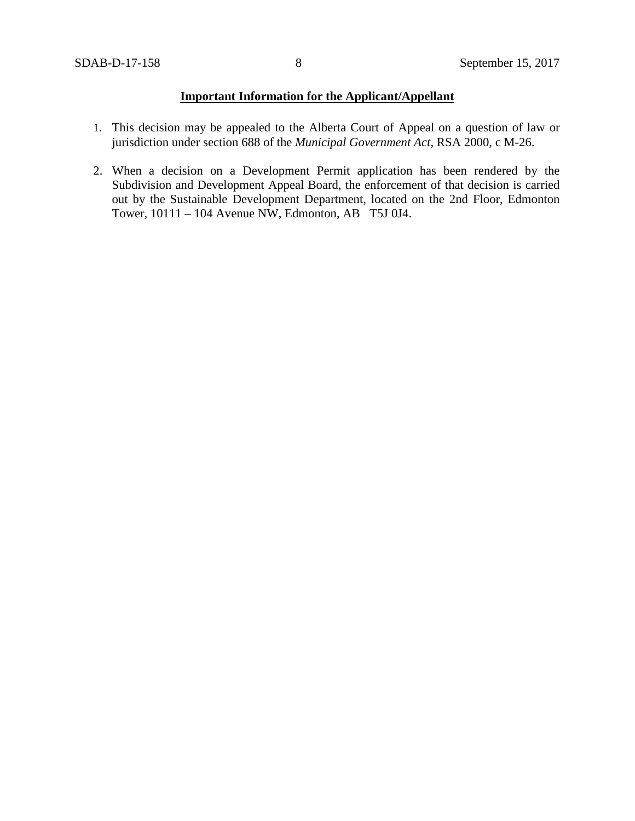# **Important Information for the Applicant/Appellant**

- 1. This decision may be appealed to the Alberta Court of Appeal on a question of law or jurisdiction under section 688 of the *Municipal Government Act*, RSA 2000, c M-26.
- 2. When a decision on a Development Permit application has been rendered by the Subdivision and Development Appeal Board, the enforcement of that decision is carried out by the Sustainable Development Department, located on the 2nd Floor, Edmonton Tower, 10111 – 104 Avenue NW, Edmonton, AB T5J 0J4.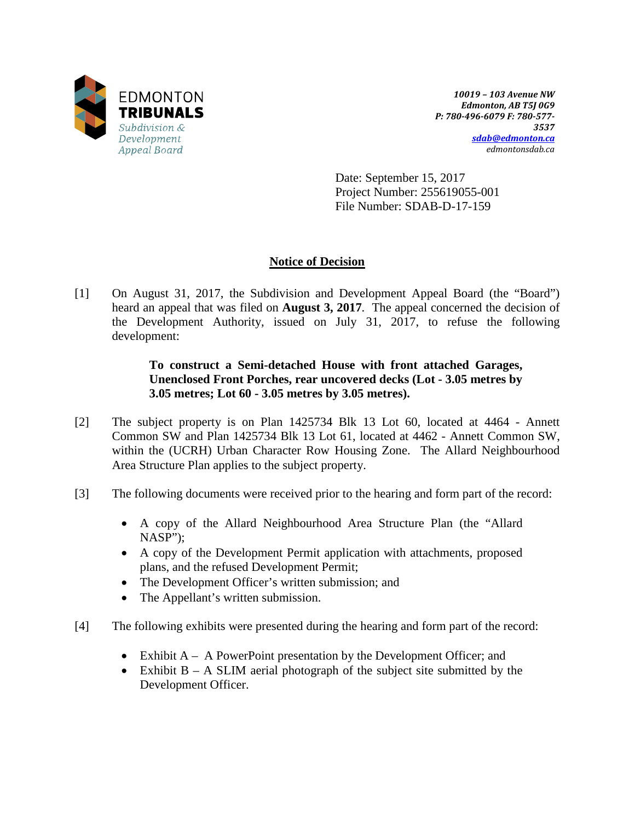

*10019 – 103 Avenue NW Edmonton, AB T5J 0G9 P: 780-496-6079 F: 780-577- 3537 [sdab@edmonton.ca](mailto:sdab@edmonton.ca) edmontonsdab.ca*

Date: September 15, 2017 Project Number: 255619055-001 File Number: SDAB-D-17-159

# **Notice of Decision**

[1] On August 31, 2017, the Subdivision and Development Appeal Board (the "Board") heard an appeal that was filed on **August 3, 2017**. The appeal concerned the decision of the Development Authority, issued on July 31, 2017, to refuse the following development:

# **To construct a Semi-detached House with front attached Garages, Unenclosed Front Porches, rear uncovered decks (Lot - 3.05 metres by 3.05 metres; Lot 60 - 3.05 metres by 3.05 metres).**

- [2] The subject property is on Plan 1425734 Blk 13 Lot 60, located at 4464 Annett Common SW and Plan 1425734 Blk 13 Lot 61, located at 4462 - Annett Common SW, within the (UCRH) Urban Character Row Housing Zone. The Allard Neighbourhood Area Structure Plan applies to the subject property.
- [3] The following documents were received prior to the hearing and form part of the record:
	- A copy of the Allard Neighbourhood Area Structure Plan (the "Allard NASP");
	- A copy of the Development Permit application with attachments, proposed plans, and the refused Development Permit;
	- The Development Officer's written submission; and
	- The Appellant's written submission.
- [4] The following exhibits were presented during the hearing and form part of the record:
	- Exhibit  $A A$  PowerPoint presentation by the Development Officer; and
	- Exhibit  $B A$  SLIM aerial photograph of the subject site submitted by the Development Officer.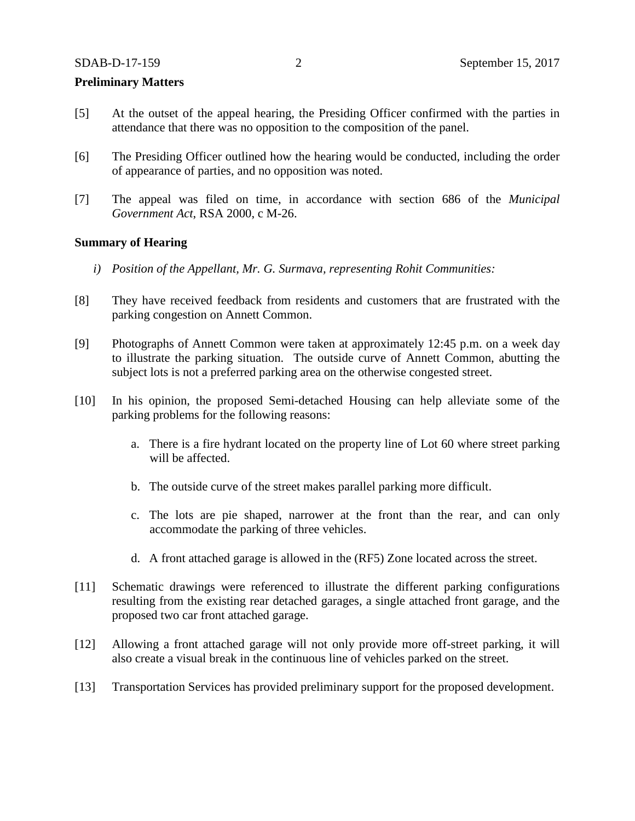#### **Preliminary Matters**

- [5] At the outset of the appeal hearing, the Presiding Officer confirmed with the parties in attendance that there was no opposition to the composition of the panel.
- [6] The Presiding Officer outlined how the hearing would be conducted, including the order of appearance of parties, and no opposition was noted.
- [7] The appeal was filed on time, in accordance with section 686 of the *Municipal Government Act*, RSA 2000, c M-26.

## **Summary of Hearing**

- *i) Position of the Appellant, Mr. G. Surmava, representing Rohit Communities:*
- [8] They have received feedback from residents and customers that are frustrated with the parking congestion on Annett Common.
- [9] Photographs of Annett Common were taken at approximately 12:45 p.m. on a week day to illustrate the parking situation. The outside curve of Annett Common, abutting the subject lots is not a preferred parking area on the otherwise congested street.
- [10] In his opinion, the proposed Semi-detached Housing can help alleviate some of the parking problems for the following reasons:
	- a. There is a fire hydrant located on the property line of Lot 60 where street parking will be affected.
	- b. The outside curve of the street makes parallel parking more difficult.
	- c. The lots are pie shaped, narrower at the front than the rear, and can only accommodate the parking of three vehicles.
	- d. A front attached garage is allowed in the (RF5) Zone located across the street.
- [11] Schematic drawings were referenced to illustrate the different parking configurations resulting from the existing rear detached garages, a single attached front garage, and the proposed two car front attached garage.
- [12] Allowing a front attached garage will not only provide more off-street parking, it will also create a visual break in the continuous line of vehicles parked on the street.
- [13] Transportation Services has provided preliminary support for the proposed development.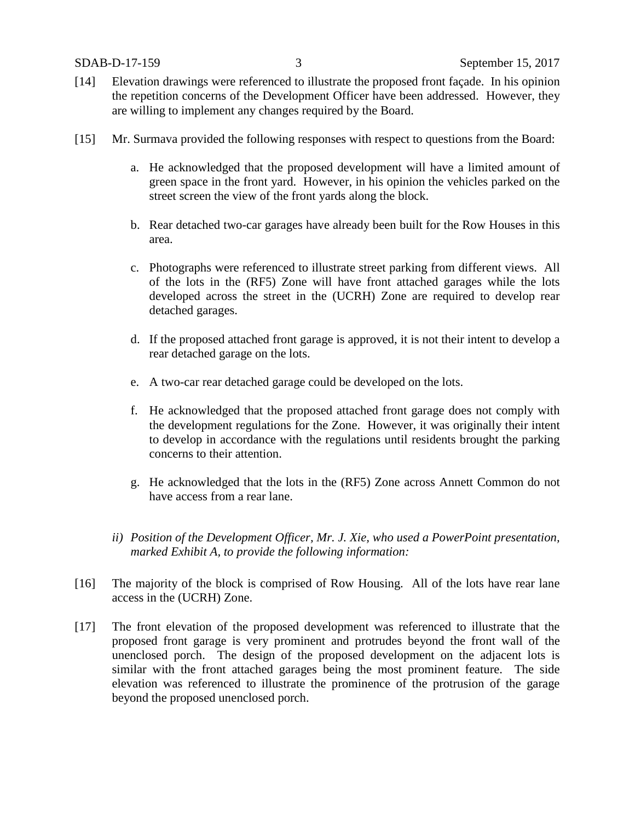- [14] Elevation drawings were referenced to illustrate the proposed front façade. In his opinion the repetition concerns of the Development Officer have been addressed. However, they are willing to implement any changes required by the Board.
- [15] Mr. Surmava provided the following responses with respect to questions from the Board:
	- a. He acknowledged that the proposed development will have a limited amount of green space in the front yard. However, in his opinion the vehicles parked on the street screen the view of the front yards along the block.
	- b. Rear detached two-car garages have already been built for the Row Houses in this area.
	- c. Photographs were referenced to illustrate street parking from different views. All of the lots in the (RF5) Zone will have front attached garages while the lots developed across the street in the (UCRH) Zone are required to develop rear detached garages.
	- d. If the proposed attached front garage is approved, it is not their intent to develop a rear detached garage on the lots.
	- e. A two-car rear detached garage could be developed on the lots.
	- f. He acknowledged that the proposed attached front garage does not comply with the development regulations for the Zone. However, it was originally their intent to develop in accordance with the regulations until residents brought the parking concerns to their attention.
	- g. He acknowledged that the lots in the (RF5) Zone across Annett Common do not have access from a rear lane.
	- *ii) Position of the Development Officer, Mr. J. Xie, who used a PowerPoint presentation, marked Exhibit A, to provide the following information:*
- [16] The majority of the block is comprised of Row Housing. All of the lots have rear lane access in the (UCRH) Zone.
- [17] The front elevation of the proposed development was referenced to illustrate that the proposed front garage is very prominent and protrudes beyond the front wall of the unenclosed porch. The design of the proposed development on the adjacent lots is similar with the front attached garages being the most prominent feature. The side elevation was referenced to illustrate the prominence of the protrusion of the garage beyond the proposed unenclosed porch.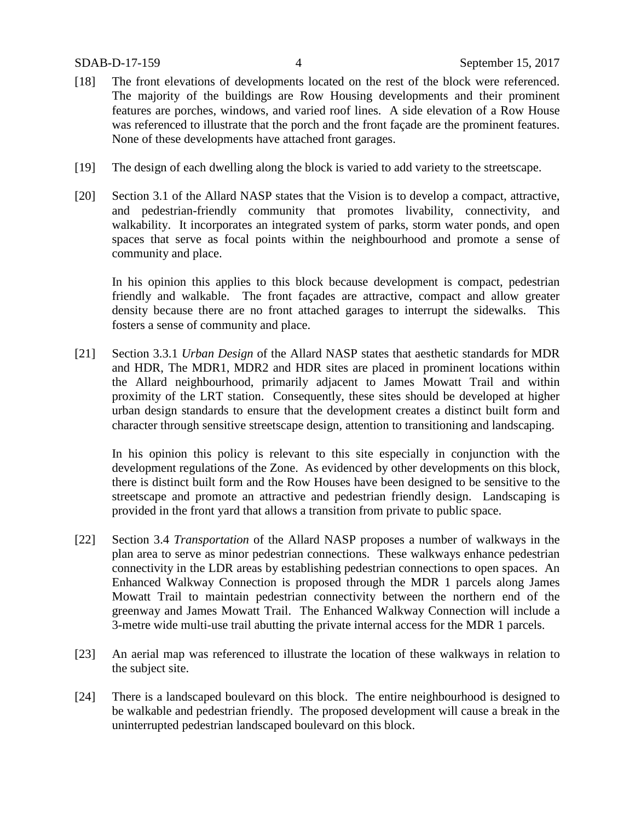- [18] The front elevations of developments located on the rest of the block were referenced. The majority of the buildings are Row Housing developments and their prominent features are porches, windows, and varied roof lines. A side elevation of a Row House was referenced to illustrate that the porch and the front façade are the prominent features. None of these developments have attached front garages.
- [19] The design of each dwelling along the block is varied to add variety to the streetscape.
- [20] Section 3.1 of the Allard NASP states that the Vision is to develop a compact, attractive, and pedestrian-friendly community that promotes livability, connectivity, and walkability. It incorporates an integrated system of parks, storm water ponds, and open spaces that serve as focal points within the neighbourhood and promote a sense of community and place.

In his opinion this applies to this block because development is compact, pedestrian friendly and walkable. The front façades are attractive, compact and allow greater density because there are no front attached garages to interrupt the sidewalks. This fosters a sense of community and place.

[21] Section 3.3.1 *Urban Design* of the Allard NASP states that aesthetic standards for MDR and HDR, The MDR1, MDR2 and HDR sites are placed in prominent locations within the Allard neighbourhood, primarily adjacent to James Mowatt Trail and within proximity of the LRT station. Consequently, these sites should be developed at higher urban design standards to ensure that the development creates a distinct built form and character through sensitive streetscape design, attention to transitioning and landscaping.

In his opinion this policy is relevant to this site especially in conjunction with the development regulations of the Zone. As evidenced by other developments on this block, there is distinct built form and the Row Houses have been designed to be sensitive to the streetscape and promote an attractive and pedestrian friendly design. Landscaping is provided in the front yard that allows a transition from private to public space.

- [22] Section 3.4 *Transportation* of the Allard NASP proposes a number of walkways in the plan area to serve as minor pedestrian connections. These walkways enhance pedestrian connectivity in the LDR areas by establishing pedestrian connections to open spaces. An Enhanced Walkway Connection is proposed through the MDR 1 parcels along James Mowatt Trail to maintain pedestrian connectivity between the northern end of the greenway and James Mowatt Trail. The Enhanced Walkway Connection will include a 3-metre wide multi-use trail abutting the private internal access for the MDR 1 parcels.
- [23] An aerial map was referenced to illustrate the location of these walkways in relation to the subject site.
- [24] There is a landscaped boulevard on this block. The entire neighbourhood is designed to be walkable and pedestrian friendly. The proposed development will cause a break in the uninterrupted pedestrian landscaped boulevard on this block.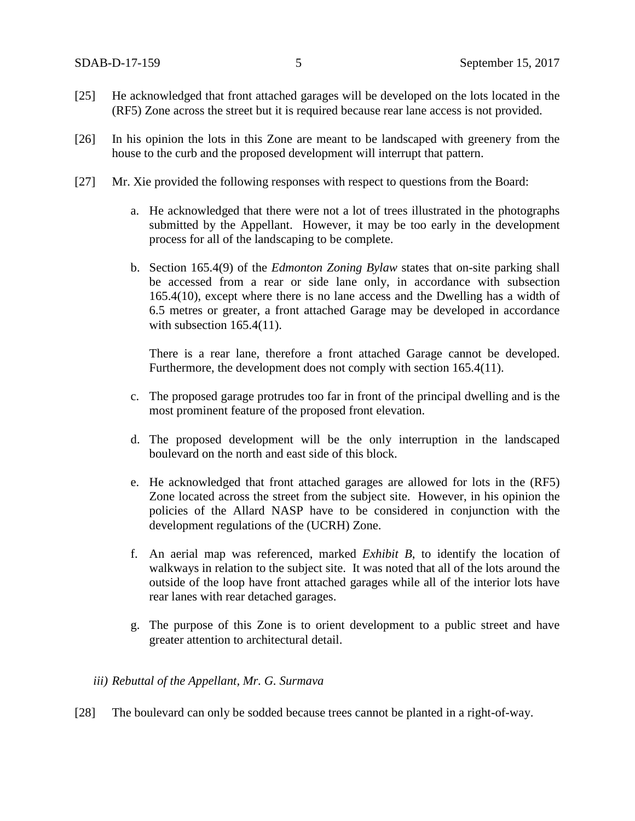- [25] He acknowledged that front attached garages will be developed on the lots located in the (RF5) Zone across the street but it is required because rear lane access is not provided.
- [26] In his opinion the lots in this Zone are meant to be landscaped with greenery from the house to the curb and the proposed development will interrupt that pattern.
- [27] Mr. Xie provided the following responses with respect to questions from the Board:
	- a. He acknowledged that there were not a lot of trees illustrated in the photographs submitted by the Appellant. However, it may be too early in the development process for all of the landscaping to be complete.
	- b. Section 165.4(9) of the *Edmonton Zoning Bylaw* states that on-site parking shall be accessed from a rear or side lane only, in accordance with subsection 165.4(10), except where there is no lane access and the Dwelling has a width of 6.5 metres or greater, a front attached Garage may be developed in accordance with subsection 165.4(11).

There is a rear lane, therefore a front attached Garage cannot be developed. Furthermore, the development does not comply with section 165.4(11).

- c. The proposed garage protrudes too far in front of the principal dwelling and is the most prominent feature of the proposed front elevation.
- d. The proposed development will be the only interruption in the landscaped boulevard on the north and east side of this block.
- e. He acknowledged that front attached garages are allowed for lots in the (RF5) Zone located across the street from the subject site. However, in his opinion the policies of the Allard NASP have to be considered in conjunction with the development regulations of the (UCRH) Zone.
- f. An aerial map was referenced, marked *Exhibit B*, to identify the location of walkways in relation to the subject site. It was noted that all of the lots around the outside of the loop have front attached garages while all of the interior lots have rear lanes with rear detached garages.
- g. The purpose of this Zone is to orient development to a public street and have greater attention to architectural detail.

## *iii) Rebuttal of the Appellant, Mr. G. Surmava*

[28] The boulevard can only be sodded because trees cannot be planted in a right-of-way.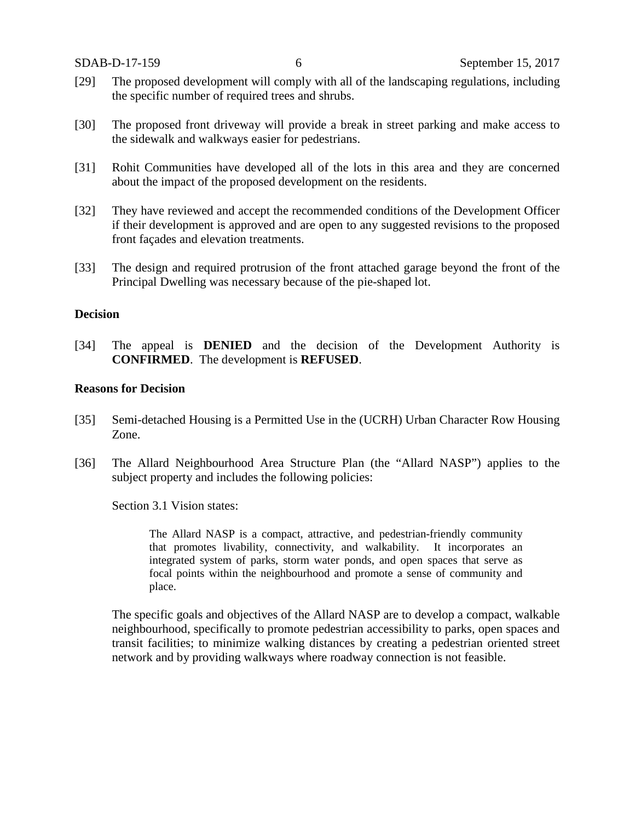- [29] The proposed development will comply with all of the landscaping regulations, including the specific number of required trees and shrubs.
- [30] The proposed front driveway will provide a break in street parking and make access to the sidewalk and walkways easier for pedestrians.
- [31] Rohit Communities have developed all of the lots in this area and they are concerned about the impact of the proposed development on the residents.
- [32] They have reviewed and accept the recommended conditions of the Development Officer if their development is approved and are open to any suggested revisions to the proposed front façades and elevation treatments.
- [33] The design and required protrusion of the front attached garage beyond the front of the Principal Dwelling was necessary because of the pie-shaped lot.

# **Decision**

[34] The appeal is **DENIED** and the decision of the Development Authority is **CONFIRMED**. The development is **REFUSED**.

## **Reasons for Decision**

- [35] Semi-detached Housing is a Permitted Use in the (UCRH) Urban Character Row Housing Zone.
- [36] The Allard Neighbourhood Area Structure Plan (the "Allard NASP") applies to the subject property and includes the following policies:

Section 3.1 Vision states:

The Allard NASP is a compact, attractive, and pedestrian-friendly community that promotes livability, connectivity, and walkability. It incorporates an integrated system of parks, storm water ponds, and open spaces that serve as focal points within the neighbourhood and promote a sense of community and place.

The specific goals and objectives of the Allard NASP are to develop a compact, walkable neighbourhood, specifically to promote pedestrian accessibility to parks, open spaces and transit facilities; to minimize walking distances by creating a pedestrian oriented street network and by providing walkways where roadway connection is not feasible.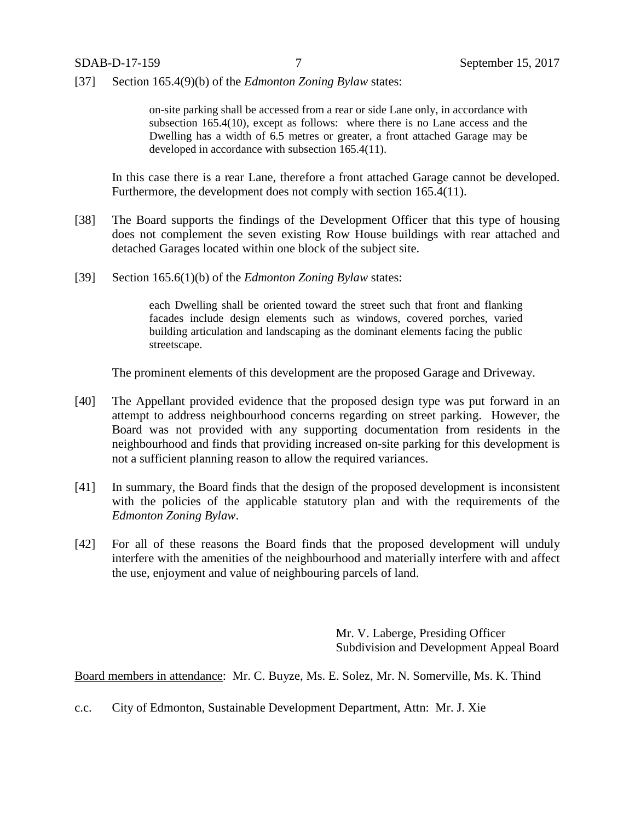[37] Section 165.4(9)(b) of the *Edmonton Zoning Bylaw* states:

on-site parking shall be accessed from a rear or side Lane only, in accordance with subsection 165.4(10), except as follows: where there is no Lane access and the Dwelling has a width of 6.5 metres or greater, a front attached Garage may be developed in accordance with subsection 165.4(11).

In this case there is a rear Lane, therefore a front attached Garage cannot be developed. Furthermore, the development does not comply with section 165.4(11).

- [38] The Board supports the findings of the Development Officer that this type of housing does not complement the seven existing Row House buildings with rear attached and detached Garages located within one block of the subject site.
- [39] Section 165.6(1)(b) of the *Edmonton Zoning Bylaw* states:

each Dwelling shall be oriented toward the street such that front and flanking facades include design elements such as windows, covered porches, varied building articulation and landscaping as the dominant elements facing the public streetscape.

The prominent elements of this development are the proposed Garage and Driveway.

- [40] The Appellant provided evidence that the proposed design type was put forward in an attempt to address neighbourhood concerns regarding on street parking. However, the Board was not provided with any supporting documentation from residents in the neighbourhood and finds that providing increased on-site parking for this development is not a sufficient planning reason to allow the required variances.
- [41] In summary, the Board finds that the design of the proposed development is inconsistent with the policies of the applicable statutory plan and with the requirements of the *Edmonton Zoning Bylaw*.
- [42] For all of these reasons the Board finds that the proposed development will unduly interfere with the amenities of the neighbourhood and materially interfere with and affect the use, enjoyment and value of neighbouring parcels of land.

Mr. V. Laberge, Presiding Officer Subdivision and Development Appeal Board

Board members in attendance: Mr. C. Buyze, Ms. E. Solez, Mr. N. Somerville, Ms. K. Thind

c.c. City of Edmonton, Sustainable Development Department, Attn: Mr. J. Xie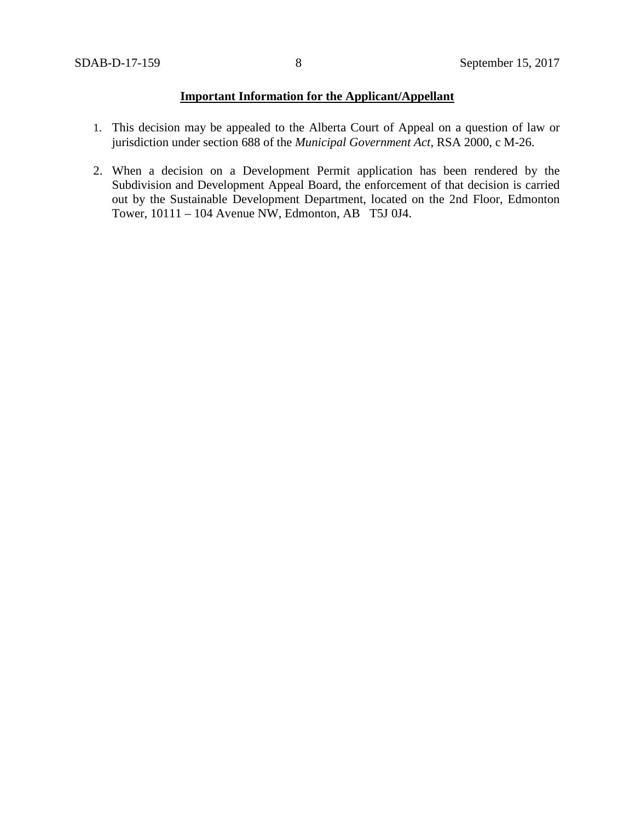# **Important Information for the Applicant/Appellant**

- 1. This decision may be appealed to the Alberta Court of Appeal on a question of law or jurisdiction under section 688 of the *Municipal Government Act*, RSA 2000, c M-26.
- 2. When a decision on a Development Permit application has been rendered by the Subdivision and Development Appeal Board, the enforcement of that decision is carried out by the Sustainable Development Department, located on the 2nd Floor, Edmonton Tower, 10111 – 104 Avenue NW, Edmonton, AB T5J 0J4.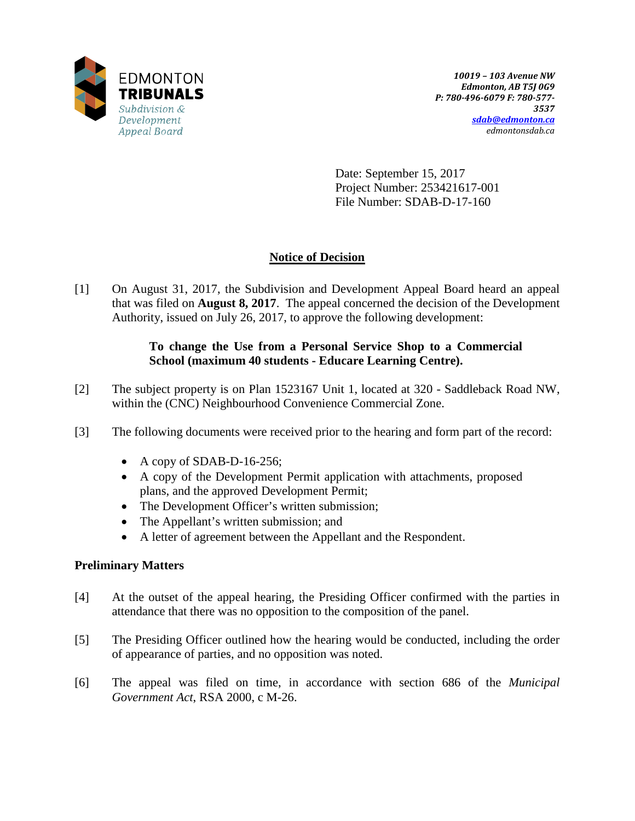

Date: September 15, 2017 Project Number: 253421617-001 File Number: SDAB-D-17-160

# **Notice of Decision**

[1] On August 31, 2017, the Subdivision and Development Appeal Board heard an appeal that was filed on **August 8, 2017**. The appeal concerned the decision of the Development Authority, issued on July 26, 2017, to approve the following development:

# **To change the Use from a Personal Service Shop to a Commercial School (maximum 40 students - Educare Learning Centre).**

- [2] The subject property is on Plan 1523167 Unit 1, located at 320 Saddleback Road NW, within the (CNC) Neighbourhood Convenience Commercial Zone.
- [3] The following documents were received prior to the hearing and form part of the record:
	- A copy of SDAB-D-16-256;
	- A copy of the Development Permit application with attachments, proposed plans, and the approved Development Permit;
	- The Development Officer's written submission;
	- The Appellant's written submission; and
	- A letter of agreement between the Appellant and the Respondent.

# **Preliminary Matters**

- [4] At the outset of the appeal hearing, the Presiding Officer confirmed with the parties in attendance that there was no opposition to the composition of the panel.
- [5] The Presiding Officer outlined how the hearing would be conducted, including the order of appearance of parties, and no opposition was noted.
- [6] The appeal was filed on time, in accordance with section 686 of the *Municipal Government Act*, RSA 2000, c M-26.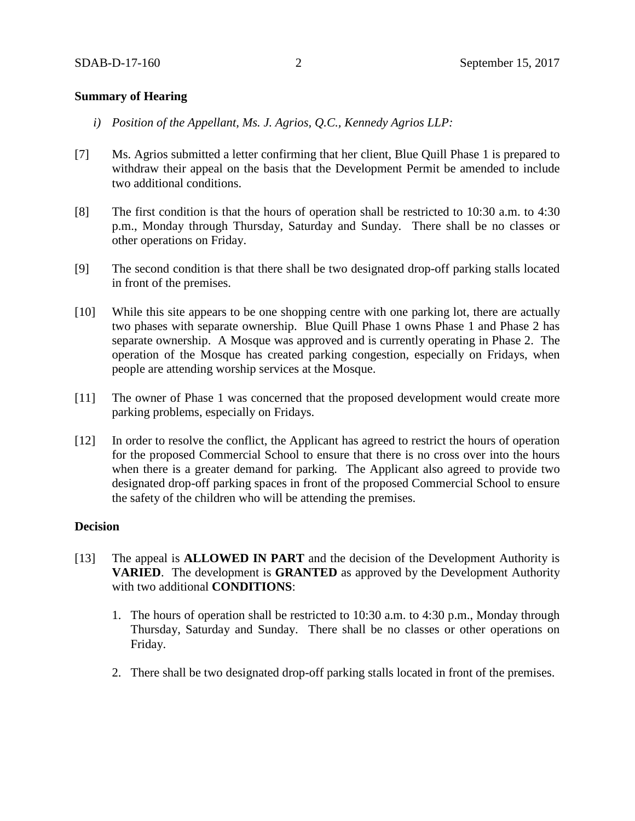## **Summary of Hearing**

- *i) Position of the Appellant, Ms. J. Agrios, Q.C., Kennedy Agrios LLP:*
- [7] Ms. Agrios submitted a letter confirming that her client, Blue Quill Phase 1 is prepared to withdraw their appeal on the basis that the Development Permit be amended to include two additional conditions.
- [8] The first condition is that the hours of operation shall be restricted to 10:30 a.m. to 4:30 p.m., Monday through Thursday, Saturday and Sunday. There shall be no classes or other operations on Friday.
- [9] The second condition is that there shall be two designated drop-off parking stalls located in front of the premises.
- [10] While this site appears to be one shopping centre with one parking lot, there are actually two phases with separate ownership. Blue Quill Phase 1 owns Phase 1 and Phase 2 has separate ownership. A Mosque was approved and is currently operating in Phase 2. The operation of the Mosque has created parking congestion, especially on Fridays, when people are attending worship services at the Mosque.
- [11] The owner of Phase 1 was concerned that the proposed development would create more parking problems, especially on Fridays.
- [12] In order to resolve the conflict, the Applicant has agreed to restrict the hours of operation for the proposed Commercial School to ensure that there is no cross over into the hours when there is a greater demand for parking. The Applicant also agreed to provide two designated drop-off parking spaces in front of the proposed Commercial School to ensure the safety of the children who will be attending the premises.

# **Decision**

- [13] The appeal is **ALLOWED IN PART** and the decision of the Development Authority is **VARIED**. The development is **GRANTED** as approved by the Development Authority with two additional **CONDITIONS**:
	- 1. The hours of operation shall be restricted to 10:30 a.m. to 4:30 p.m., Monday through Thursday, Saturday and Sunday. There shall be no classes or other operations on Friday.
	- 2. There shall be two designated drop-off parking stalls located in front of the premises.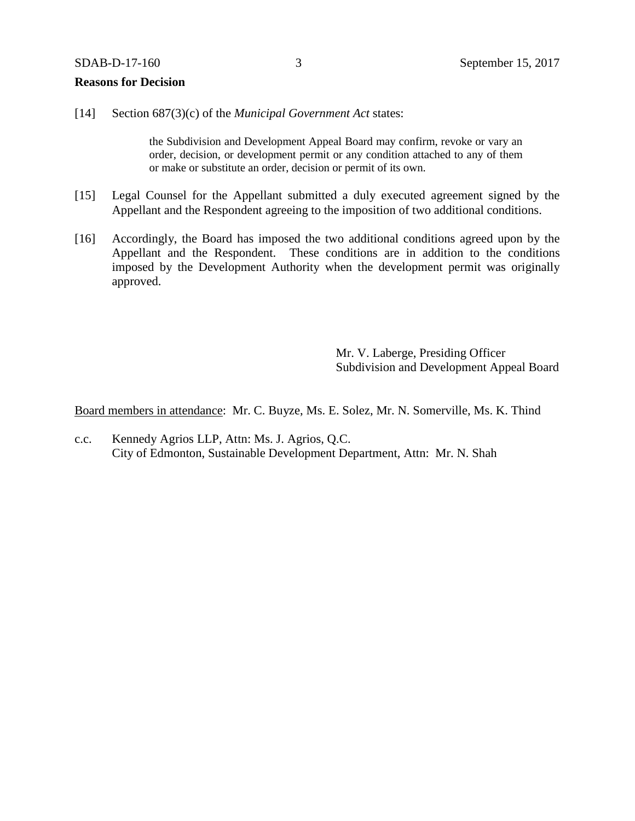### **Reasons for Decision**

[14] Section 687(3)(c) of the *Municipal Government Act* states:

the Subdivision and Development Appeal Board may confirm, revoke or vary an order, decision, or development permit or any condition attached to any of them or make or substitute an order, decision or permit of its own.

- [15] Legal Counsel for the Appellant submitted a duly executed agreement signed by the Appellant and the Respondent agreeing to the imposition of two additional conditions.
- [16] Accordingly, the Board has imposed the two additional conditions agreed upon by the Appellant and the Respondent. These conditions are in addition to the conditions imposed by the Development Authority when the development permit was originally approved.

Mr. V. Laberge, Presiding Officer Subdivision and Development Appeal Board

Board members in attendance: Mr. C. Buyze, Ms. E. Solez, Mr. N. Somerville, Ms. K. Thind

c.c. Kennedy Agrios LLP, Attn: Ms. J. Agrios, Q.C. City of Edmonton, Sustainable Development Department, Attn: Mr. N. Shah